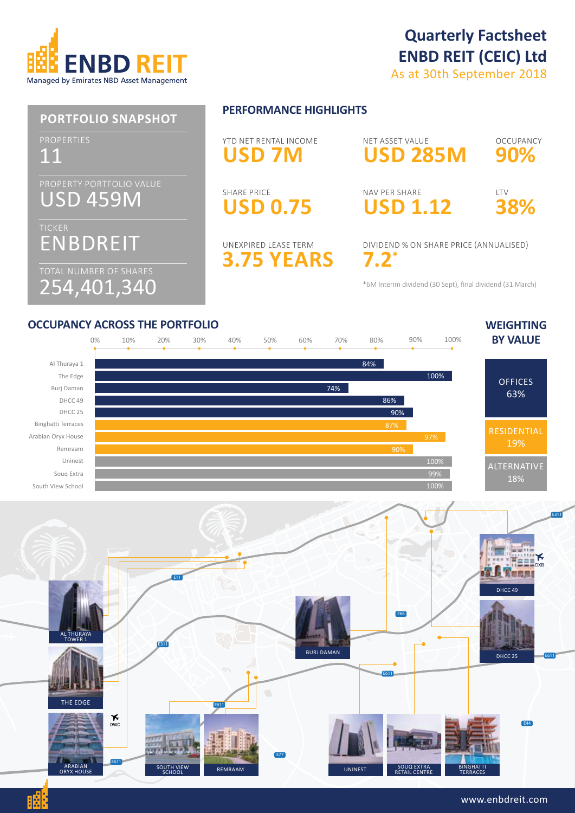

# **Quarterly Factsheet ENBD REIT (CEIC) Ltd**

As at 30th September 2018

#### USD 459M ENBDREIT 254,401,340 11 **PORTFOLIO SNAPSHOT PERFORMANCE HIGHLIGHTS USD 1.12** NAV PER SHARE **3.75 YEARS** UNEXPIRED LEASE TERM **90% OCCUPANCY 38%** LTV **7.2\*** DIVIDEND % ON SHARE PRICE (ANNUALISED) **USD 0.75** SHARE PRICE **USD 7M** YTD NET RENTAL INCOME **USD 285M** NET ASSET VALUE \*6M Interim dividend (30 Sept), final dividend (31 March)





#### www.enbdreit.com